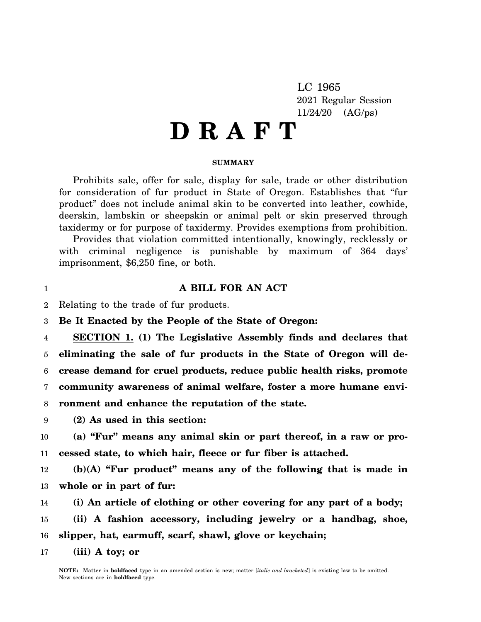LC 1965 2021 Regular Session 11/24/20 (AG/ps)

## **D R A F T**

## **SUMMARY**

Prohibits sale, offer for sale, display for sale, trade or other distribution for consideration of fur product in State of Oregon. Establishes that "fur product" does not include animal skin to be converted into leather, cowhide, deerskin, lambskin or sheepskin or animal pelt or skin preserved through taxidermy or for purpose of taxidermy. Provides exemptions from prohibition.

Provides that violation committed intentionally, knowingly, recklessly or with criminal negligence is punishable by maximum of 364 days' imprisonment, \$6,250 fine, or both.

## **A BILL FOR AN ACT**

2 Relating to the trade of fur products.

1

3 **Be It Enacted by the People of the State of Oregon:**

4 5 6 7 8 **SECTION 1. (1) The Legislative Assembly finds and declares that eliminating the sale of fur products in the State of Oregon will decrease demand for cruel products, reduce public health risks, promote community awareness of animal welfare, foster a more humane environment and enhance the reputation of the state.**

9 **(2) As used in this section:**

10 11 **(a) "Fur" means any animal skin or part thereof, in a raw or processed state, to which hair, fleece or fur fiber is attached.**

12 13 **(b)(A) "Fur product" means any of the following that is made in whole or in part of fur:**

14 **(i) An article of clothing or other covering for any part of a body;**

15 16 **(ii) A fashion accessory, including jewelry or a handbag, shoe, slipper, hat, earmuff, scarf, shawl, glove or keychain;**

17 **(iii) A toy; or**

> **NOTE:** Matter in **boldfaced** type in an amended section is new; matter [*italic and bracketed*] is existing law to be omitted. New sections are in **boldfaced** type.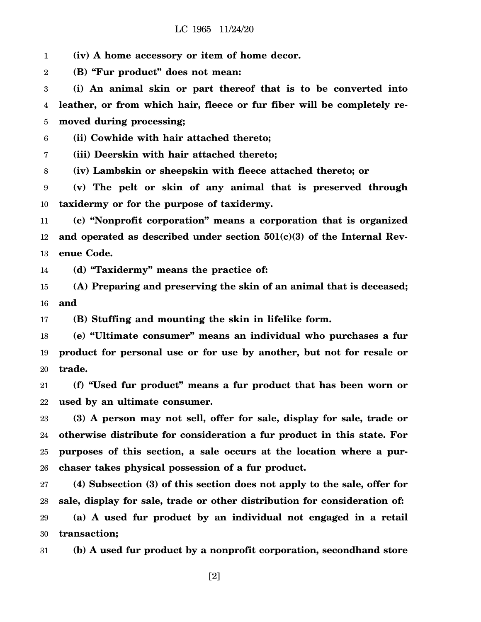1 **(iv) A home accessory or item of home decor.**

2 **(B) "Fur product" does not mean:**

3 4 5 **(i) An animal skin or part thereof that is to be converted into leather, or from which hair, fleece or fur fiber will be completely removed during processing;**

6 **(ii) Cowhide with hair attached thereto;**

7 **(iii) Deerskin with hair attached thereto;**

8 **(iv) Lambskin or sheepskin with fleece attached thereto; or**

9 10 **(v) The pelt or skin of any animal that is preserved through taxidermy or for the purpose of taxidermy.**

11 12 13 **(c) "Nonprofit corporation" means a corporation that is organized and operated as described under section 501(c)(3) of the Internal Revenue Code.**

14 **(d) "Taxidermy" means the practice of:**

15 16 **(A) Preparing and preserving the skin of an animal that is deceased; and**

17 **(B) Stuffing and mounting the skin in lifelike form.**

18 19 20 **(e) "Ultimate consumer" means an individual who purchases a fur product for personal use or for use by another, but not for resale or trade.**

21 22 **(f) "Used fur product" means a fur product that has been worn or used by an ultimate consumer.**

23 24 25 26 **(3) A person may not sell, offer for sale, display for sale, trade or otherwise distribute for consideration a fur product in this state. For purposes of this section, a sale occurs at the location where a purchaser takes physical possession of a fur product.**

27 28 29 30 **(4) Subsection (3) of this section does not apply to the sale, offer for sale, display for sale, trade or other distribution for consideration of: (a) A used fur product by an individual not engaged in a retail transaction;**

31 **(b) A used fur product by a nonprofit corporation, secondhand store**

[2]